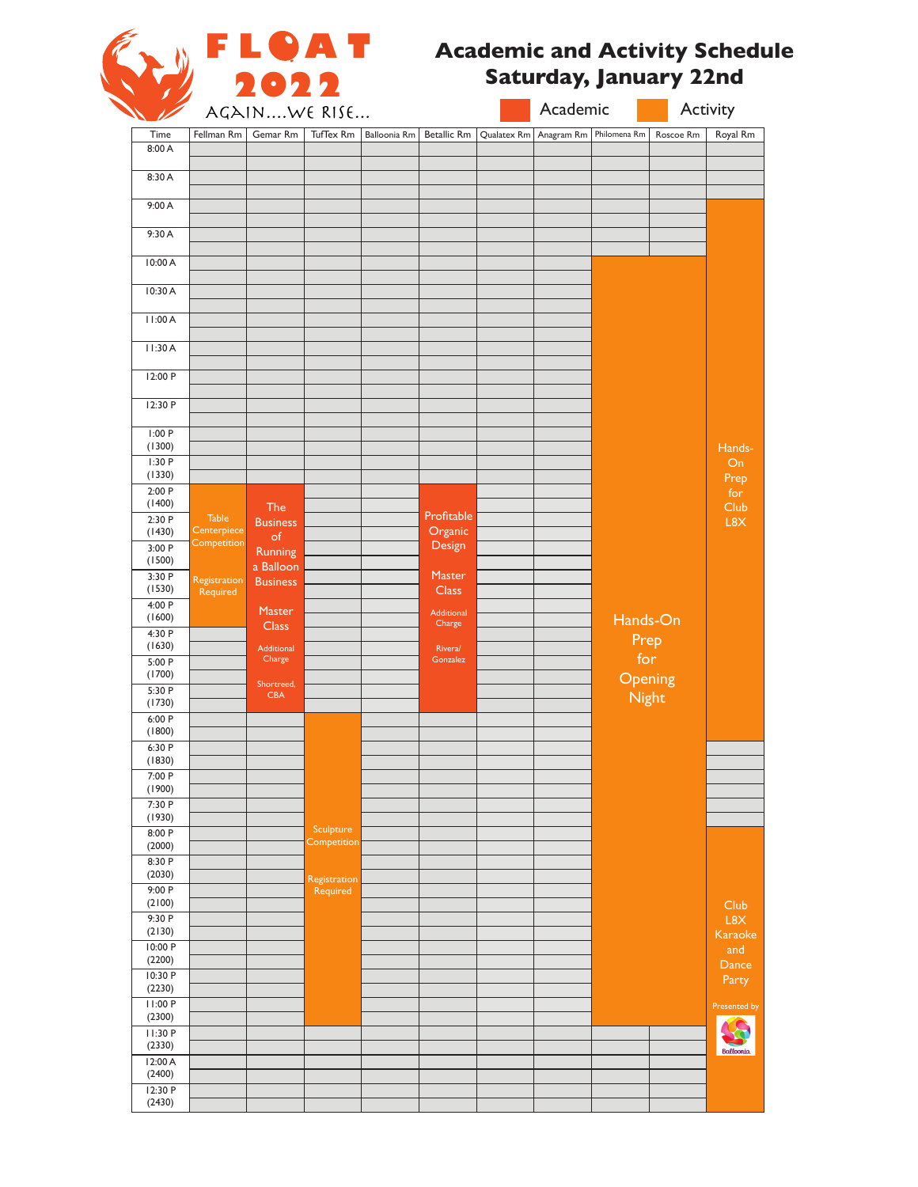

#### **Academic and Activity Schedule Saturday, January 22nd**

|                   | AGAINWE RISE               |                               |                          |              |                      |             | Academic   |              |           | Activity         |  |  |
|-------------------|----------------------------|-------------------------------|--------------------------|--------------|----------------------|-------------|------------|--------------|-----------|------------------|--|--|
| Time              | Fellman Rm                 | Gemar Rm                      | TufTex Rm                | Balloonia Rm | <b>Betallic Rm</b>   | Qualatex Rm | Anagram Rm | Philomena Rm | Roscoe Rm | Royal Rm         |  |  |
| 8:00 A            |                            |                               |                          |              |                      |             |            |              |           |                  |  |  |
| 8:30 A            |                            |                               |                          |              |                      |             |            |              |           |                  |  |  |
| 9:00 A            |                            |                               |                          |              |                      |             |            |              |           |                  |  |  |
| 9:30 A            |                            |                               |                          |              |                      |             |            |              |           |                  |  |  |
| 10:00 A           |                            |                               |                          |              |                      |             |            |              |           |                  |  |  |
| 10:30 A           |                            |                               |                          |              |                      |             |            |              |           |                  |  |  |
| 11:00A            |                            |                               |                          |              |                      |             |            |              |           |                  |  |  |
| 11:30A            |                            |                               |                          |              |                      |             |            |              |           |                  |  |  |
| 12:00 P           |                            |                               |                          |              |                      |             |            |              |           |                  |  |  |
| 12:30 P           |                            |                               |                          |              |                      |             |            |              |           |                  |  |  |
| 1:00 P<br>(1300)  |                            |                               |                          |              |                      |             |            |              |           | Hands-           |  |  |
| 1:30P<br>(1330)   |                            |                               |                          |              |                      |             |            |              |           | On               |  |  |
| 2:00 P            |                            |                               |                          |              |                      |             |            |              |           | Prep<br>for      |  |  |
| (1400)<br>2:30P   | <b>Table</b>               | <b>The</b><br><b>Business</b> |                          |              | Profitable           |             |            |              |           | Club<br>L8X      |  |  |
| (1430)            | Centerpiece<br>Competition | of                            |                          |              | Organic<br>Design    |             |            |              |           |                  |  |  |
| 3:00P<br>(1500)   |                            | Running<br>a Balloon          |                          |              |                      |             |            |              |           |                  |  |  |
| 3:30P             | Registration               | <b>Business</b>               |                          |              | <b>Master</b>        |             |            |              |           |                  |  |  |
| (1530)<br>4:00 P  | Required                   |                               |                          |              | <b>Class</b>         |             |            |              |           |                  |  |  |
| (1600)            |                            | Master<br><b>Class</b>        |                          |              | Additional<br>Charge |             |            |              | Hands-On  |                  |  |  |
| 4:30 P<br>(1630)  |                            |                               |                          |              |                      |             |            |              | Prep      |                  |  |  |
| 5:00 P            |                            | Additional<br>Charge          |                          |              | Rivera/<br>Gonzalez  |             |            |              | for       |                  |  |  |
| (1700)            |                            | Shortreed,                    |                          |              |                      |             |            |              | Opening   |                  |  |  |
| 5:30 P<br>(1730)  |                            | <b>CBA</b>                    |                          |              |                      |             |            |              | Night     |                  |  |  |
| 6:00P             |                            |                               |                          |              |                      |             |            |              |           |                  |  |  |
| (1800)<br>6:30 P  |                            |                               |                          |              |                      |             |            |              |           |                  |  |  |
| (1830)            |                            |                               |                          |              |                      |             |            |              |           |                  |  |  |
| 7:00P<br>(1900)   |                            |                               |                          |              |                      |             |            |              |           |                  |  |  |
| 7:30 P            |                            |                               |                          |              |                      |             |            |              |           |                  |  |  |
| (1930)            |                            |                               |                          |              |                      |             |            |              |           |                  |  |  |
| 8:00P<br>(2000)   |                            |                               | Sculpture<br>Competition |              |                      |             |            |              |           |                  |  |  |
| 8:30 P            |                            |                               |                          |              |                      |             |            |              |           |                  |  |  |
| (2030)            |                            |                               | Registration             |              |                      |             |            |              |           |                  |  |  |
| 9:00P<br>(2100)   |                            |                               | Required                 |              |                      |             |            |              |           |                  |  |  |
| 9:30P             |                            |                               |                          |              |                      |             |            |              |           | Club<br>L8X      |  |  |
| (2130)            |                            |                               |                          |              |                      |             |            |              |           | Karaoke          |  |  |
| 10:00 P<br>(2200) |                            |                               |                          |              |                      |             |            |              |           | and              |  |  |
| 10:30 P           |                            |                               |                          |              |                      |             |            |              |           | Dance            |  |  |
| (2230)            |                            |                               |                          |              |                      |             |            |              |           | Party            |  |  |
| 11:00 P<br>(2300) |                            |                               |                          |              |                      |             |            |              |           | Presented by     |  |  |
| 11:30 P           |                            |                               |                          |              |                      |             |            |              |           |                  |  |  |
| (2330)            |                            |                               |                          |              |                      |             |            |              |           | <b>Balloonia</b> |  |  |
| 12:00A<br>(2400)  |                            |                               |                          |              |                      |             |            |              |           |                  |  |  |
| 12:30 P           |                            |                               |                          |              |                      |             |            |              |           |                  |  |  |
| (2430)            |                            |                               |                          |              |                      |             |            |              |           |                  |  |  |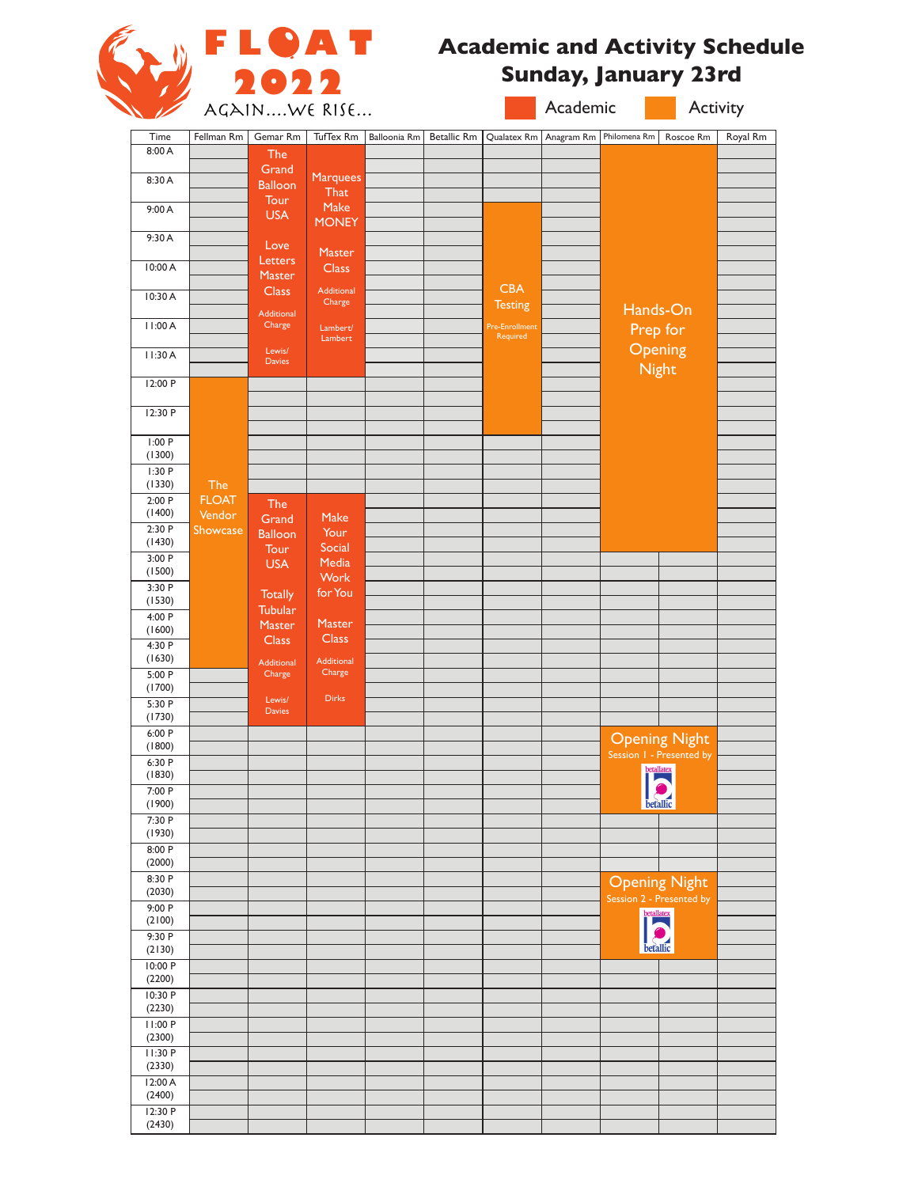

## **Academic and Activity Schedule Sunday, January 23rd**

| $\overline{\phantom{a}}$ |                    | AGAINWE RISE                     |                        |              |                    |                              |            | Academic<br>Activity |                                                  |          |
|--------------------------|--------------------|----------------------------------|------------------------|--------------|--------------------|------------------------------|------------|----------------------|--------------------------------------------------|----------|
| Time                     | Fellman Rm         | Gemar Rm                         | TufTex Rm              | Balloonia Rm | <b>Betallic Rm</b> | Qualatex Rm                  | Anagram Rm | Philomena Rm         | Roscoe Rm                                        | Royal Rm |
| 8:00 A                   |                    | <b>The</b>                       |                        |              |                    |                              |            |                      |                                                  |          |
| 8:30 A                   |                    | Grand<br><b>Balloon</b>          | Marquees               |              |                    |                              |            |                      |                                                  |          |
|                          |                    | Tour                             | That                   |              |                    |                              |            |                      |                                                  |          |
| 9:00 A                   |                    | <b>USA</b>                       | Make<br><b>MONEY</b>   |              |                    |                              |            |                      |                                                  |          |
| 9:30A                    |                    | Love                             |                        |              |                    |                              |            |                      |                                                  |          |
| 10:00 A                  |                    | Letters                          | Master<br><b>Class</b> |              |                    |                              |            |                      |                                                  |          |
|                          |                    | Master                           |                        |              |                    |                              |            |                      |                                                  |          |
| 10:30 A                  |                    | <b>Class</b>                     | Additional<br>Charge   |              |                    | <b>CBA</b><br><b>Testing</b> |            |                      |                                                  |          |
| 11:00 A                  |                    | Additional<br>Charge             | Lambert/               |              |                    | <b>Pre-Enrollment</b>        |            |                      | Hands-On                                         |          |
|                          |                    | Lewis/                           | Lambert                |              |                    | Required                     |            |                      | Prep for                                         |          |
| 11:30 A                  |                    | <b>Davies</b>                    |                        |              |                    |                              |            |                      | Opening<br>Night                                 |          |
| 12:00 P                  |                    |                                  |                        |              |                    |                              |            |                      |                                                  |          |
|                          |                    |                                  |                        |              |                    |                              |            |                      |                                                  |          |
| 12:30 P                  |                    |                                  |                        |              |                    |                              |            |                      |                                                  |          |
| 1:00P                    |                    |                                  |                        |              |                    |                              |            |                      |                                                  |          |
| (1300)<br>1:30P          |                    |                                  |                        |              |                    |                              |            |                      |                                                  |          |
| (1330)                   | The                |                                  |                        |              |                    |                              |            |                      |                                                  |          |
| 2:00P<br>(1400)          | <b>FLOAT</b>       | The                              |                        |              |                    |                              |            |                      |                                                  |          |
| 2:30P                    | Vendor<br>Showcase | Grand                            | Make<br>Your           |              |                    |                              |            |                      |                                                  |          |
| (1430)                   |                    | <b>Balloon</b><br>Tour           | Social                 |              |                    |                              |            |                      |                                                  |          |
| 3:00 P<br>(1500)         |                    | <b>USA</b>                       | Media                  |              |                    |                              |            |                      |                                                  |          |
| 3:30 P                   |                    |                                  | Work<br>for You        |              |                    |                              |            |                      |                                                  |          |
| (1530)                   |                    | <b>Totally</b><br><b>Tubular</b> |                        |              |                    |                              |            |                      |                                                  |          |
| 4:00 P<br>(1600)         |                    | Master                           | Master                 |              |                    |                              |            |                      |                                                  |          |
| 4:30 P                   |                    | <b>Class</b>                     | <b>Class</b>           |              |                    |                              |            |                      |                                                  |          |
| (1630)                   |                    | <b>Additional</b>                | Additional<br>Charge   |              |                    |                              |            |                      |                                                  |          |
| 5:00 P<br>(1700)         |                    | Charge                           |                        |              |                    |                              |            |                      |                                                  |          |
| 5:30 P                   |                    | Lewis/<br><b>Davies</b>          | <b>Dirks</b>           |              |                    |                              |            |                      |                                                  |          |
| (1730)<br>6:00 P         |                    |                                  |                        |              |                    |                              |            |                      |                                                  |          |
| (1800)                   |                    |                                  |                        |              |                    |                              |            |                      | <b>Opening Night</b><br>Session 1 - Presented by |          |
| 6:30 P                   |                    |                                  |                        |              |                    |                              |            |                      | betallatex                                       |          |
| (1830)<br>7:00 P         |                    |                                  |                        |              |                    |                              |            |                      | $\overline{C}$                                   |          |
| (1900)                   |                    |                                  |                        |              |                    |                              |            |                      | betallic                                         |          |
| 7:30 P<br>(1930)         |                    |                                  |                        |              |                    |                              |            |                      |                                                  |          |
| 8:00 P                   |                    |                                  |                        |              |                    |                              |            |                      |                                                  |          |
| (2000)<br>8:30 P         |                    |                                  |                        |              |                    |                              |            |                      |                                                  |          |
| (2030)                   |                    |                                  |                        |              |                    |                              |            |                      | <b>Opening Night</b><br>Session 2 - Presented by |          |
| 9:00P                    |                    |                                  |                        |              |                    |                              |            |                      | betallatex                                       |          |
| (2100)<br>9:30 P         |                    |                                  |                        |              |                    |                              |            |                      |                                                  |          |
| (2130)                   |                    |                                  |                        |              |                    |                              |            |                      | betallic                                         |          |
| 10:00 P<br>(2200)        |                    |                                  |                        |              |                    |                              |            |                      |                                                  |          |
| 10:30 P                  |                    |                                  |                        |              |                    |                              |            |                      |                                                  |          |
| (2230)                   |                    |                                  |                        |              |                    |                              |            |                      |                                                  |          |
| 11:00 P<br>(2300)        |                    |                                  |                        |              |                    |                              |            |                      |                                                  |          |
| 11:30 P                  |                    |                                  |                        |              |                    |                              |            |                      |                                                  |          |
| (2330)                   |                    |                                  |                        |              |                    |                              |            |                      |                                                  |          |
| 12:00 A<br>(2400)        |                    |                                  |                        |              |                    |                              |            |                      |                                                  |          |
| 12:30 P                  |                    |                                  |                        |              |                    |                              |            |                      |                                                  |          |
| (2430)                   |                    |                                  |                        |              |                    |                              |            |                      |                                                  |          |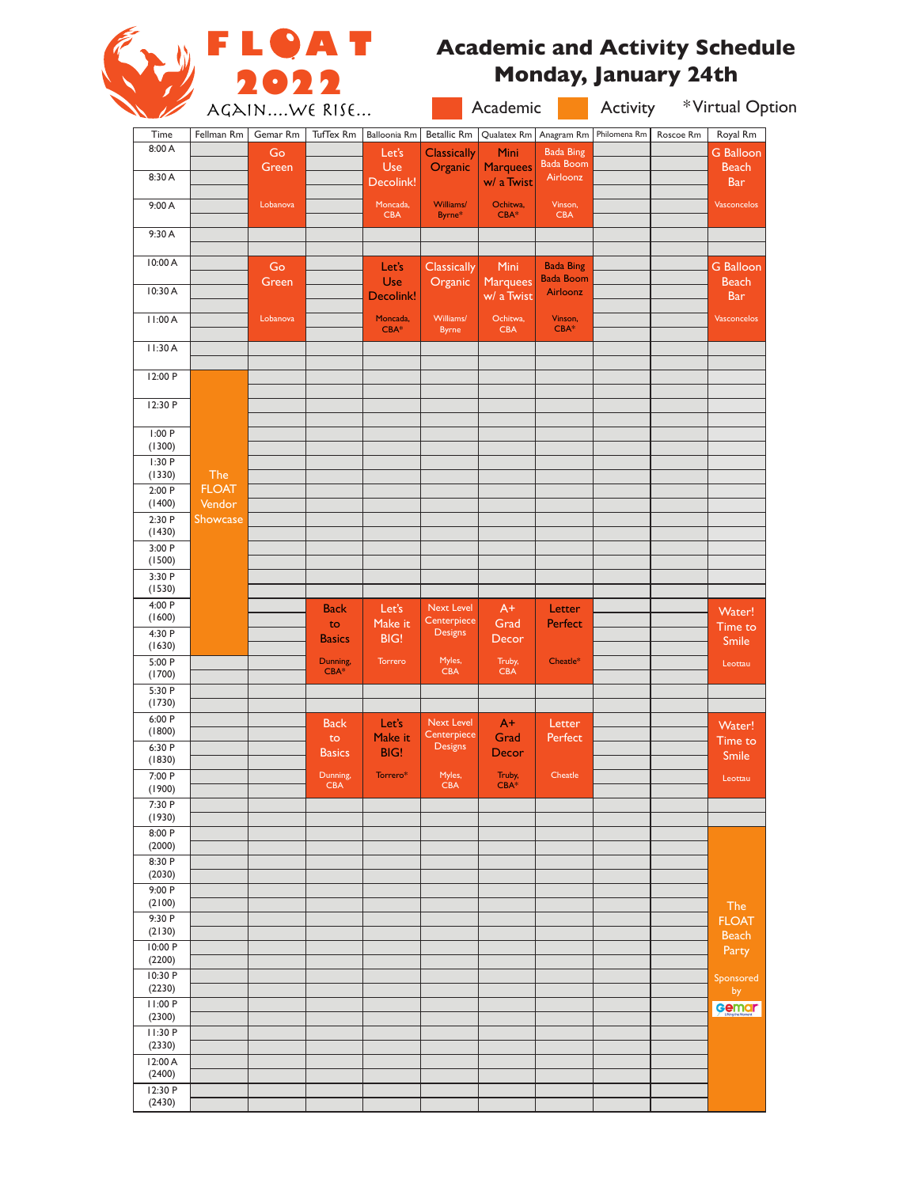

# **FLOAT** Academic and Activity Schedule **Monday, January 24th**

| $\overline{\phantom{a}}$ |                        | AGAINWE RISE | <u>a shekara ta ƙasar Ingila.</u> |                         |                               | Academic                      |                                      | <b>Activity</b> |           | *Virtual Option                  |  |
|--------------------------|------------------------|--------------|-----------------------------------|-------------------------|-------------------------------|-------------------------------|--------------------------------------|-----------------|-----------|----------------------------------|--|
| Time                     | Fellman Rm             | Gemar Rm     | TufTex Rm                         | <b>Balloonia Rm</b>     | <b>Betallic Rm</b>            | Qualatex Rm                   | Anagram Rm                           | Philomena Rm    | Roscoe Rm | Royal Rm                         |  |
| 8:00 A                   |                        | Go           |                                   | Let's                   | <b>Classically</b>            | <b>Mini</b>                   | <b>Bada Bing</b><br><b>Bada Boom</b> |                 |           | <b>G</b> Balloon                 |  |
| 8:30 A                   |                        | Green        |                                   | <b>Use</b><br>Decolink! | Organic                       | <b>Marquees</b><br>w/ a Twist | Airloonz                             |                 |           | <b>Beach</b><br><b>Bar</b>       |  |
| 9:00 A                   |                        | Lobanova     |                                   | Moncada,<br><b>CBA</b>  | Williams/<br>Byrne*           | Ochitwa,<br>$CBA*$            | Vinson,<br><b>CBA</b>                |                 |           | Vasconcelos                      |  |
| 9:30 A                   |                        |              |                                   |                         |                               |                               |                                      |                 |           |                                  |  |
| 10:00 A                  |                        | Go<br>Green  |                                   | Let's<br>Use            | <b>Classically</b><br>Organic | Mini<br><b>Marquees</b>       | <b>Bada Bing</b><br><b>Bada Boom</b> |                 |           | <b>G</b> Balloon<br><b>Beach</b> |  |
| 10:30 A                  |                        |              |                                   | Decolink!               |                               | w/ a Twist                    | Airloonz                             |                 |           | <b>Bar</b>                       |  |
| 11:00 A                  |                        | Lobanova     |                                   | Moncada,<br>$CBA*$      | Williams/<br><b>Byrne</b>     | Ochitwa,<br><b>CBA</b>        | Vinson,<br>$CBA*$                    |                 |           | Vasconcelos                      |  |
| 11:30A                   |                        |              |                                   |                         |                               |                               |                                      |                 |           |                                  |  |
| 12:00 P                  |                        |              |                                   |                         |                               |                               |                                      |                 |           |                                  |  |
| 12:30 P                  |                        |              |                                   |                         |                               |                               |                                      |                 |           |                                  |  |
| 1:00P<br>(1300)          |                        |              |                                   |                         |                               |                               |                                      |                 |           |                                  |  |
| 1:30P<br>(1330)          | The                    |              |                                   |                         |                               |                               |                                      |                 |           |                                  |  |
| 2:00P<br>(1400)          | <b>FLOAT</b><br>Vendor |              |                                   |                         |                               |                               |                                      |                 |           |                                  |  |
| 2:30P                    | Showcase               |              |                                   |                         |                               |                               |                                      |                 |           |                                  |  |
| (1430)<br>3:00P          |                        |              |                                   |                         |                               |                               |                                      |                 |           |                                  |  |
| (1500)                   |                        |              |                                   |                         |                               |                               |                                      |                 |           |                                  |  |
| 3:30 P<br>(1530)         |                        |              |                                   |                         |                               |                               |                                      |                 |           |                                  |  |
| 4:00 P<br>(1600)         |                        |              | <b>Back</b>                       | Let's                   | <b>Next Level</b>             | $A+$                          | Letter                               |                 |           | Water!                           |  |
| 4:30 P                   |                        |              | to<br><b>Basics</b>               | Make it<br>BIG!         | Centerpiece<br><b>Designs</b> | Grad<br>Decor                 | <b>Perfect</b>                       |                 |           | Time to                          |  |
| (1630)<br>5:00P          |                        |              | Dunning,                          | Torrero                 | Myles,                        | Truby,                        | Cheatle*                             |                 |           | <b>Smile</b><br>Leottau          |  |
| (1700)                   |                        |              | $CBA*$                            |                         | <b>CBA</b>                    | <b>CBA</b>                    |                                      |                 |           |                                  |  |
| 5:30 P<br>(1730)         |                        |              |                                   |                         |                               |                               |                                      |                 |           |                                  |  |
| 6:00 P<br>(1800)         |                        |              | <b>Back</b>                       | Let's                   | <b>Next Level</b>             | $A+$                          | Letter                               |                 |           | Water!                           |  |
| 6:30 P                   |                        |              | to<br><b>Basics</b>               | Make it<br><b>BIG!</b>  | Centerpiece<br><b>Designs</b> | Grad<br>Decor                 | Perfect                              |                 |           | Time to<br>$S$ mile              |  |
| (1830)<br>7:00 P         |                        |              | Dunning,                          | Torrero*                | Myles,                        | Truby,                        | Cheatle                              |                 |           |                                  |  |
| (1900)                   |                        |              | <b>CBA</b>                        |                         | CBA                           | $CBA*$                        |                                      |                 |           | Leottau                          |  |
| 7:30 P<br>(1930)         |                        |              |                                   |                         |                               |                               |                                      |                 |           |                                  |  |
| 8:00 P<br>(2000)         |                        |              |                                   |                         |                               |                               |                                      |                 |           |                                  |  |
| 8:30 P                   |                        |              |                                   |                         |                               |                               |                                      |                 |           |                                  |  |
| (2030)<br>9:00 P         |                        |              |                                   |                         |                               |                               |                                      |                 |           |                                  |  |
| (2100)                   |                        |              |                                   |                         |                               |                               |                                      |                 |           | <b>The</b>                       |  |
| 9:30 P<br>(2130)         |                        |              |                                   |                         |                               |                               |                                      |                 |           | <b>FLOAT</b><br>Beach            |  |
| 10:00 P<br>(2200)        |                        |              |                                   |                         |                               |                               |                                      |                 |           | Party                            |  |
| 10:30 P<br>(2230)        |                        |              |                                   |                         |                               |                               |                                      |                 |           | Sponsored                        |  |
| 11:00 P                  |                        |              |                                   |                         |                               |                               |                                      |                 |           | by<br>Gemar                      |  |
| (2300)<br>11:30 P        |                        |              |                                   |                         |                               |                               |                                      |                 |           |                                  |  |
| (2330)                   |                        |              |                                   |                         |                               |                               |                                      |                 |           |                                  |  |
| 12:00 A<br>(2400)        |                        |              |                                   |                         |                               |                               |                                      |                 |           |                                  |  |
| 12:30 P                  |                        |              |                                   |                         |                               |                               |                                      |                 |           |                                  |  |
| (2430)                   |                        |              |                                   |                         |                               |                               |                                      |                 |           |                                  |  |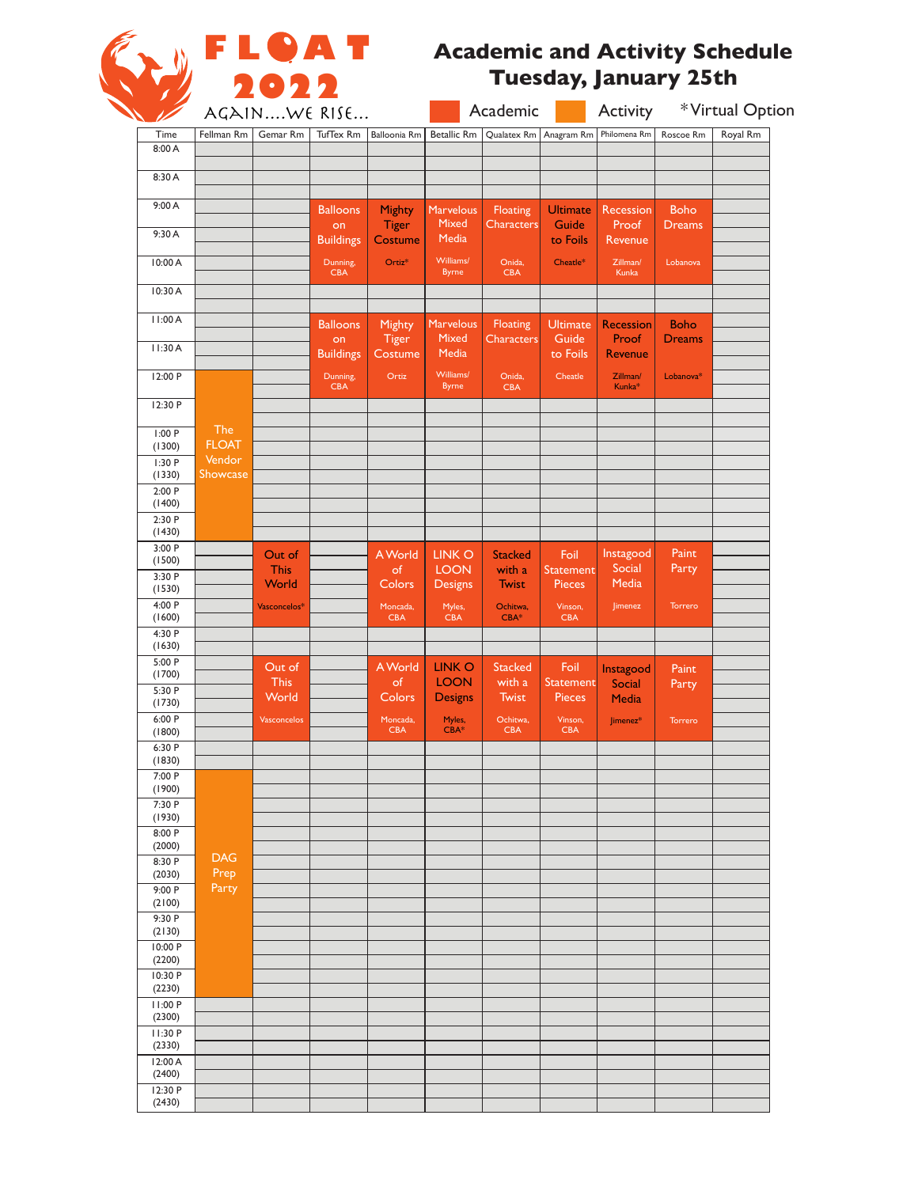

## **Academic and Activity Schedule Tuesday, January 25th**

|                   | AGAINWE RISE           |                      |                        | Academic                |                               |                               | *Virtual Option<br>Activity       |                           |                              |          |
|-------------------|------------------------|----------------------|------------------------|-------------------------|-------------------------------|-------------------------------|-----------------------------------|---------------------------|------------------------------|----------|
| Time              | Fellman Rm             | Gemar Rm             | TufTex Rm              | Balloonia Rm            | <b>Betallic Rm</b>            |                               | Qualatex Rm   Anagram Rm          | Philomena Rm              | Roscoe Rm                    | Royal Rm |
| 8:00 A            |                        |                      |                        |                         |                               |                               |                                   |                           |                              |          |
| 8:30 A            |                        |                      |                        |                         |                               |                               |                                   |                           |                              |          |
|                   |                        |                      |                        |                         |                               |                               |                                   |                           |                              |          |
| 9:00 A            |                        |                      | <b>Balloons</b>        | Mighty                  | <b>Marvelous</b><br>Mixed     | <b>Floating</b>               | <b>Ultimate</b>                   | Recession                 | <b>Boho</b>                  |          |
| 9:30 A            |                        |                      | on<br><b>Buildings</b> | <b>Tiger</b><br>Costume | Media                         | <b>Characters</b>             | Guide<br>to Foils                 | Proof<br>Revenue          | <b>Dreams</b>                |          |
| 10:00 A           |                        |                      | Dunning,               | Ortiz*                  | Williams/                     | Onida,                        | Cheatle*                          | Zillman/                  | Lobanova                     |          |
|                   |                        |                      | <b>CBA</b>             |                         | <b>Byrne</b>                  | <b>CBA</b>                    |                                   | Kunka                     |                              |          |
| 10:30 A           |                        |                      |                        |                         |                               |                               |                                   |                           |                              |          |
| 11:00 A           |                        |                      |                        |                         |                               |                               |                                   |                           |                              |          |
|                   |                        |                      | <b>Balloons</b><br>on  | Mighty<br><b>Tiger</b>  | <b>Marvelous</b><br>Mixed     | Floating<br><b>Characters</b> | <b>Ultimate</b><br>Guide          | <b>Recession</b><br>Proof | <b>Boho</b><br><b>Dreams</b> |          |
| 11:30 A           |                        |                      | <b>Buildings</b>       | Costume                 | Media                         |                               | to Foils                          | <b>Revenue</b>            |                              |          |
| 12:00 P           |                        |                      | Dunning,               | Ortiz                   | Williams/                     | Onida,                        | Cheatle                           | Zillman/                  | Lobanova*                    |          |
|                   |                        |                      | <b>CBA</b>             |                         | <b>Byrne</b>                  | <b>CBA</b>                    |                                   | Kunka*                    |                              |          |
| 12:30 P           |                        |                      |                        |                         |                               |                               |                                   |                           |                              |          |
| 1:00P             | The                    |                      |                        |                         |                               |                               |                                   |                           |                              |          |
| (1300)<br>1:30P   | <b>FLOAT</b><br>Vendor |                      |                        |                         |                               |                               |                                   |                           |                              |          |
| (1330)            | <b>Showcase</b>        |                      |                        |                         |                               |                               |                                   |                           |                              |          |
| 2:00P             |                        |                      |                        |                         |                               |                               |                                   |                           |                              |          |
| (1400)<br>2:30 P  |                        |                      |                        |                         |                               |                               |                                   |                           |                              |          |
| (1430)            |                        |                      |                        |                         |                               |                               |                                   |                           |                              |          |
| 3:00 P<br>(1500)  |                        | Out of               |                        | A World                 | <b>LINKO</b>                  | <b>Stacked</b>                | Foil                              | Instagood                 | Paint                        |          |
| 3:30 P            |                        | <b>This</b>          |                        | of                      | <b>LOON</b>                   | with a                        | Statement                         | Social                    | Party                        |          |
| (1530)            |                        | World                |                        | Colors                  | <b>Designs</b>                | <b>Twist</b>                  | <b>Pieces</b>                     | Media                     |                              |          |
| 4:00 P<br>(1600)  |                        | Vasconcelos*         |                        | Moncada,<br><b>CBA</b>  | Myles,<br><b>CBA</b>          | Ochitwa,<br>$CBA*$            | Vinson,<br><b>CBA</b>             | Jimenez                   | Torrero                      |          |
| 4:30 P            |                        |                      |                        |                         |                               |                               |                                   |                           |                              |          |
| (1630)            |                        |                      |                        |                         |                               |                               |                                   |                           |                              |          |
| 5:00 P<br>(1700)  |                        | Out of               |                        | A World                 | <b>LINK O</b>                 | <b>Stacked</b>                | Foil                              | Instagood                 | Paint                        |          |
| 5:30 P            |                        | <b>This</b><br>World |                        | of<br>Colors            | <b>LOON</b><br><b>Designs</b> | with a<br><b>Twist</b>        | <b>Statement</b><br><b>Pieces</b> | Social<br><b>Media</b>    | Party                        |          |
| (1730)<br>6:00 P  |                        | <b>Vasconcelos</b>   |                        | Moncada,                | Myles,                        | Ochitwa,                      | Vinson,                           | Jimenez*                  | Torrero                      |          |
| (1800)            |                        |                      |                        | CBA                     | $CBA*$                        | CBA                           | <b>CBA</b>                        |                           |                              |          |
| 6:30 P            |                        |                      |                        |                         |                               |                               |                                   |                           |                              |          |
| (1830)<br>7:00 P  |                        |                      |                        |                         |                               |                               |                                   |                           |                              |          |
| (1900)            |                        |                      |                        |                         |                               |                               |                                   |                           |                              |          |
| 7:30 P<br>(1930)  |                        |                      |                        |                         |                               |                               |                                   |                           |                              |          |
| 8:00 P            |                        |                      |                        |                         |                               |                               |                                   |                           |                              |          |
| (2000)            | <b>DAG</b>             |                      |                        |                         |                               |                               |                                   |                           |                              |          |
| 8:30 P<br>(2030)  | Prep                   |                      |                        |                         |                               |                               |                                   |                           |                              |          |
| 9:00 P            | Party                  |                      |                        |                         |                               |                               |                                   |                           |                              |          |
| (2100)<br>9:30 P  |                        |                      |                        |                         |                               |                               |                                   |                           |                              |          |
| (2130)            |                        |                      |                        |                         |                               |                               |                                   |                           |                              |          |
| 10:00 P           |                        |                      |                        |                         |                               |                               |                                   |                           |                              |          |
| (2200)<br>10:30 P |                        |                      |                        |                         |                               |                               |                                   |                           |                              |          |
| (2230)            |                        |                      |                        |                         |                               |                               |                                   |                           |                              |          |
| 11:00 P<br>(2300) |                        |                      |                        |                         |                               |                               |                                   |                           |                              |          |
| 11:30 P           |                        |                      |                        |                         |                               |                               |                                   |                           |                              |          |
| (2330)            |                        |                      |                        |                         |                               |                               |                                   |                           |                              |          |
| 12:00 A<br>(2400) |                        |                      |                        |                         |                               |                               |                                   |                           |                              |          |
| 12:30 P           |                        |                      |                        |                         |                               |                               |                                   |                           |                              |          |
| (2430)            |                        |                      |                        |                         |                               |                               |                                   |                           |                              |          |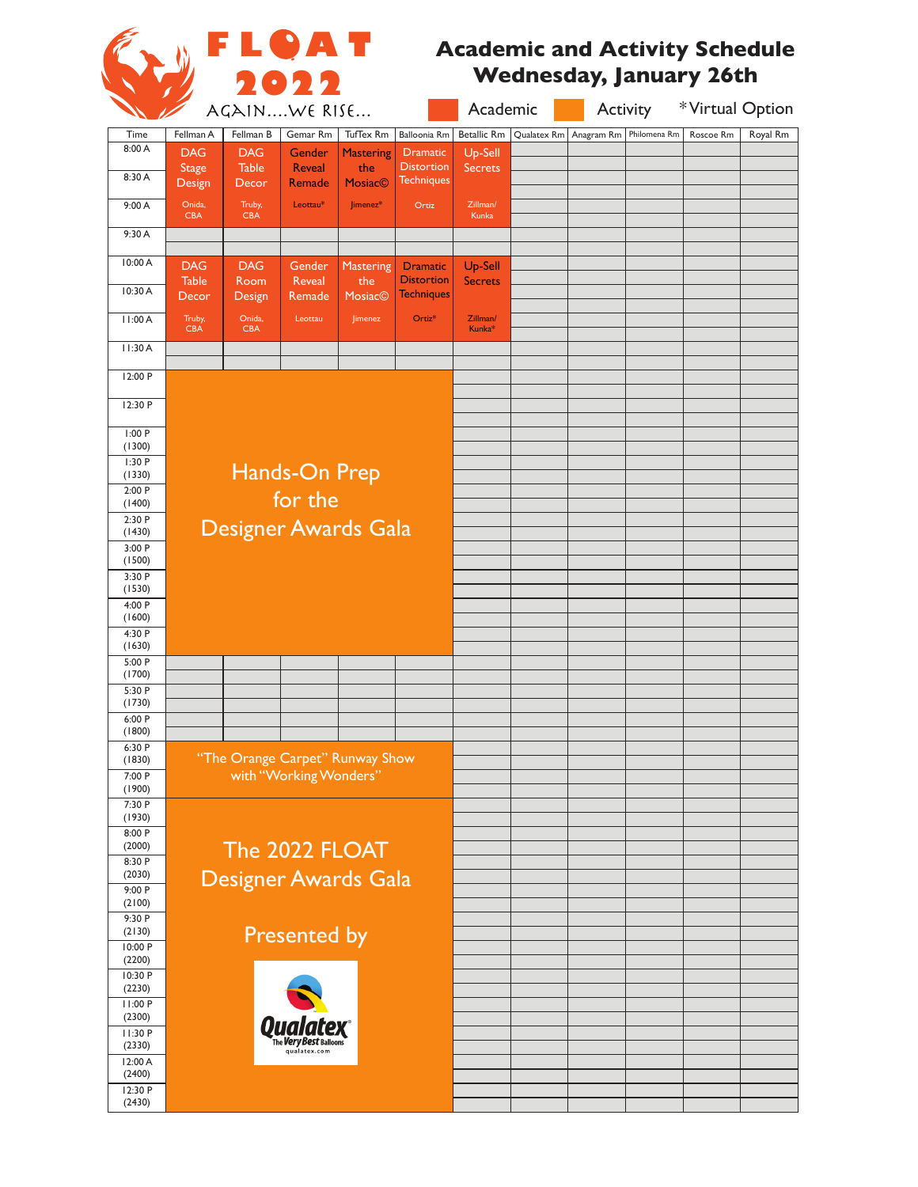

## **Academic and Activity Schedule Wednesday, January 26th**

|                   |                      |                      | AGAINWE RISE                    |                  |                    | Academic                       |             | Activity   |              | *Virtual Option |          |
|-------------------|----------------------|----------------------|---------------------------------|------------------|--------------------|--------------------------------|-------------|------------|--------------|-----------------|----------|
| Time              | Fellman A            | Fellman B            | Gemar Rm                        | TufTex Rm        | Balloonia Rm       | <b>Betallic Rm</b>             | Qualatex Rm | Anagram Rm | Philomena Rm | Roscoe Rm       | Royal Rm |
| 8:00 A            | <b>DAG</b>           | <b>DAG</b>           | Gender                          | <b>Mastering</b> | <b>Dramatic</b>    | Up-Sell                        |             |            |              |                 |          |
|                   | <b>Stage</b>         | <b>Table</b>         | <b>Reveal</b>                   | the              | <b>Distortion</b>  | Secrets                        |             |            |              |                 |          |
| 8:30 A            | Design               | Decor                | Remade                          | <b>Mosiac©</b>   | <b>Techniques</b>  |                                |             |            |              |                 |          |
| 9:00A             | Onida,<br><b>CBA</b> | Truby,<br><b>CBA</b> | Leottau*                        | Jimenez*         | Ortiz              | Zillman/<br>Kunka              |             |            |              |                 |          |
| 9:30 A            |                      |                      |                                 |                  |                    |                                |             |            |              |                 |          |
| 10:00 A           | <b>DAG</b>           | <b>DAG</b>           | Gender                          | Mastering        | <b>Dramatic</b>    | Up-Sell                        |             |            |              |                 |          |
|                   | <b>Table</b>         | Room                 | Reveal                          | the              | <b>Distortion</b>  | <b>Secrets</b>                 |             |            |              |                 |          |
| 10:30 A           | Decor                | Design               | Remade                          | <b>Mosiac©</b>   | <b>Techniques</b>  |                                |             |            |              |                 |          |
| 11:00A            | Truby,<br>CBA        | Onida,<br><b>CBA</b> | Leottau                         | Jimenez          | Ortiz <sup>*</sup> | Zillman/<br>Kunka <sup>*</sup> |             |            |              |                 |          |
| 11:30 A           |                      |                      |                                 |                  |                    |                                |             |            |              |                 |          |
| 12:00 P           |                      |                      |                                 |                  |                    |                                |             |            |              |                 |          |
| 12:30 P           |                      |                      |                                 |                  |                    |                                |             |            |              |                 |          |
| 1:00 P            |                      |                      |                                 |                  |                    |                                |             |            |              |                 |          |
| (1300)<br>1:30P   |                      |                      |                                 |                  |                    |                                |             |            |              |                 |          |
| (1330)            |                      |                      | Hands-On Prep                   |                  |                    |                                |             |            |              |                 |          |
| 2:00P             |                      |                      | for the                         |                  |                    |                                |             |            |              |                 |          |
| (1400)<br>2:30 P  |                      |                      |                                 |                  |                    |                                |             |            |              |                 |          |
| (1430)            |                      |                      | Designer Awards Gala            |                  |                    |                                |             |            |              |                 |          |
| 3:00P<br>(1500)   |                      |                      |                                 |                  |                    |                                |             |            |              |                 |          |
| 3:30 P            |                      |                      |                                 |                  |                    |                                |             |            |              |                 |          |
| (1530)<br>4:00 P  |                      |                      |                                 |                  |                    |                                |             |            |              |                 |          |
| (1600)            |                      |                      |                                 |                  |                    |                                |             |            |              |                 |          |
| 4:30 P            |                      |                      |                                 |                  |                    |                                |             |            |              |                 |          |
| (1630)<br>5:00 P  |                      |                      |                                 |                  |                    |                                |             |            |              |                 |          |
| (1700)            |                      |                      |                                 |                  |                    |                                |             |            |              |                 |          |
| 5:30 P<br>(1730)  |                      |                      |                                 |                  |                    |                                |             |            |              |                 |          |
| 6:00 P            |                      |                      |                                 |                  |                    |                                |             |            |              |                 |          |
| (1800)            |                      |                      |                                 |                  |                    |                                |             |            |              |                 |          |
| 6:30 P<br>(1830)  |                      |                      | "The Orange Carpet" Runway Show |                  |                    |                                |             |            |              |                 |          |
| 7:00 P            |                      |                      | with "Working Wonders'          |                  |                    |                                |             |            |              |                 |          |
| (1900)<br>7:30 P  |                      |                      |                                 |                  |                    |                                |             |            |              |                 |          |
| (1930)            |                      |                      |                                 |                  |                    |                                |             |            |              |                 |          |
| 8:00 P<br>(2000)  |                      |                      |                                 |                  |                    |                                |             |            |              |                 |          |
| 8:30 P            |                      |                      | The 2022 FLOAT                  |                  |                    |                                |             |            |              |                 |          |
| (2030)            |                      |                      | Designer Awards Gala            |                  |                    |                                |             |            |              |                 |          |
| 9:00 P<br>(2100)  |                      |                      |                                 |                  |                    |                                |             |            |              |                 |          |
| 9:30 P            |                      |                      |                                 |                  |                    |                                |             |            |              |                 |          |
| (2130)            |                      |                      | <b>Presented by</b>             |                  |                    |                                |             |            |              |                 |          |
| 10:00 P<br>(2200) |                      |                      |                                 |                  |                    |                                |             |            |              |                 |          |
| 10:30 P           |                      |                      |                                 |                  |                    |                                |             |            |              |                 |          |
| (2230)<br>11:00 P |                      |                      |                                 |                  |                    |                                |             |            |              |                 |          |
| (2300)            |                      |                      |                                 |                  |                    |                                |             |            |              |                 |          |
| 11:30 P           |                      |                      |                                 |                  |                    |                                |             |            |              |                 |          |
| (2330)<br>12:00 A |                      |                      | qualatex.com                    |                  |                    |                                |             |            |              |                 |          |
| (2400)            |                      |                      |                                 |                  |                    |                                |             |            |              |                 |          |
| 12:30 P<br>(2430) |                      |                      |                                 |                  |                    |                                |             |            |              |                 |          |
|                   |                      |                      |                                 |                  |                    |                                |             |            |              |                 |          |